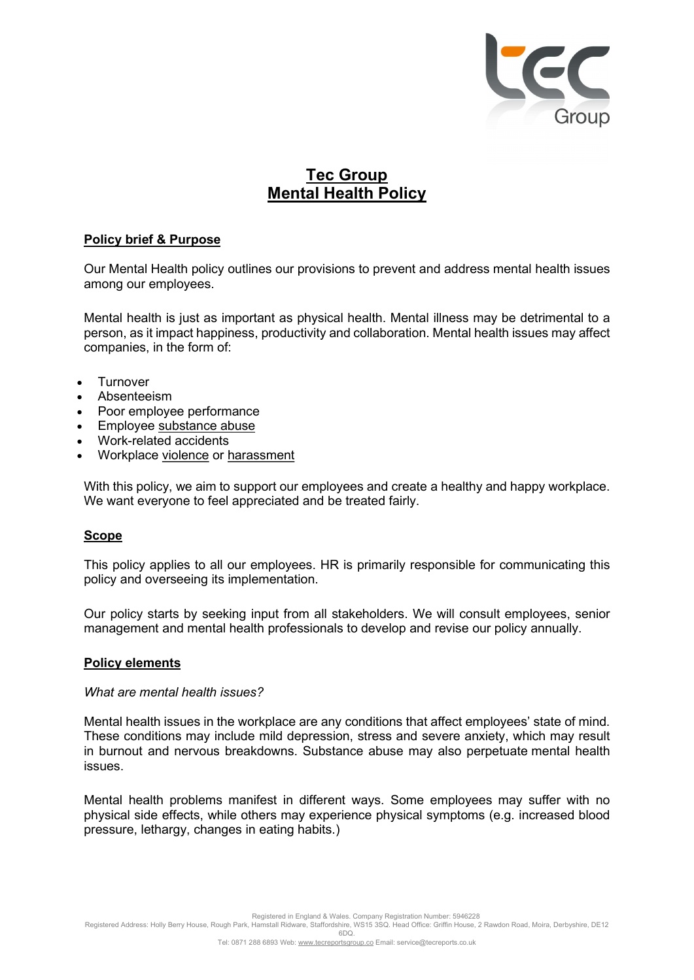

# Tec Group Mental Health Policy

# Policy brief & Purpose

Our Mental Health policy outlines our provisions to prevent and address mental health issues among our employees.

Mental health is just as important as physical health. Mental illness may be detrimental to a person, as it impact happiness, productivity and collaboration. Mental health issues may affect companies, in the form of:

- **Turnover**
- Absenteeism
- Poor employee performance
- Employee substance abuse
- Work-related accidents
- Workplace violence or harassment

With this policy, we aim to support our employees and create a healthy and happy workplace. We want everyone to feel appreciated and be treated fairly.

## Scope

This policy applies to all our employees. HR is primarily responsible for communicating this policy and overseeing its implementation.

Our policy starts by seeking input from all stakeholders. We will consult employees, senior management and mental health professionals to develop and revise our policy annually.

## Policy elements

## What are mental health issues?

Mental health issues in the workplace are any conditions that affect employees' state of mind. These conditions may include mild depression, stress and severe anxiety, which may result in burnout and nervous breakdowns. Substance abuse may also perpetuate mental health issues.

Mental health problems manifest in different ways. Some employees may suffer with no physical side effects, while others may experience physical symptoms (e.g. increased blood pressure, lethargy, changes in eating habits.)

Registered in England & Wales. Company Registration Number: 5946228

Registered Address: Holly Berry House, Rough Park, Hamstall Ridware, Staffordshire, WS15 3SQ. Head Office: Griffin House, 2 Rawdon Road, Moira, Derbyshire, DE12 6DQ.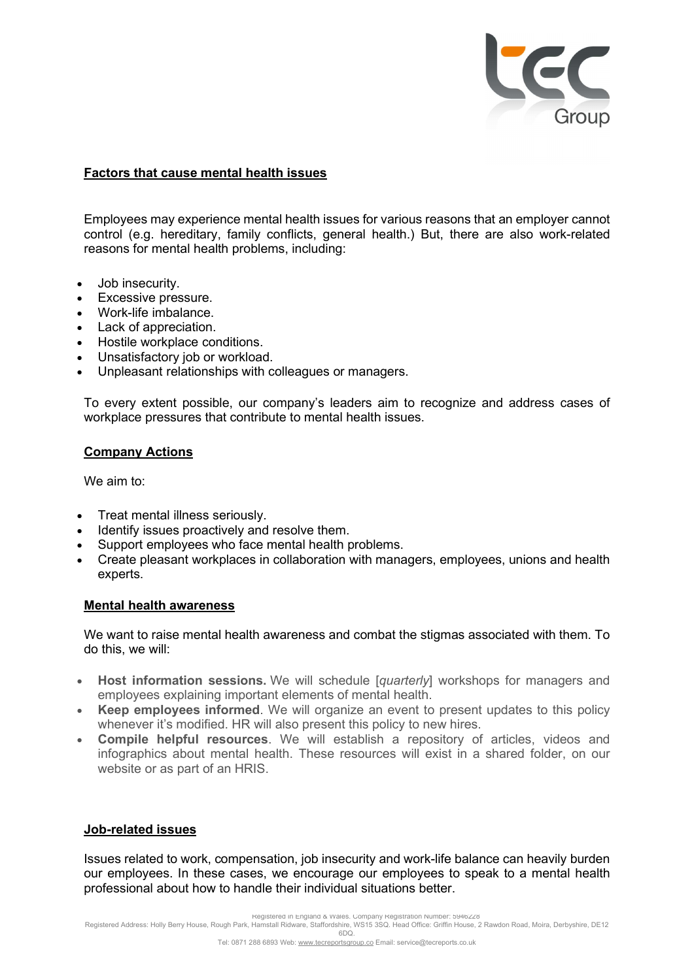

# Factors that cause mental health issues

Employees may experience mental health issues for various reasons that an employer cannot control (e.g. hereditary, family conflicts, general health.) But, there are also work-related reasons for mental health problems, including:

- Job insecurity.
- Excessive pressure.
- Work-life imbalance.
- Lack of appreciation.
- Hostile workplace conditions.
- Unsatisfactory job or workload.
- Unpleasant relationships with colleagues or managers.

To every extent possible, our company's leaders aim to recognize and address cases of workplace pressures that contribute to mental health issues.

# Company Actions

We aim to:

- Treat mental illness seriously.
- Identify issues proactively and resolve them.
- Support employees who face mental health problems.
- Create pleasant workplaces in collaboration with managers, employees, unions and health experts.

# Mental health awareness

We want to raise mental health awareness and combat the stigmas associated with them. To do this, we will:

- Host information sessions. We will schedule [quarterly] workshops for managers and employees explaining important elements of mental health.
- Keep employees informed. We will organize an event to present updates to this policy whenever it's modified. HR will also present this policy to new hires.
- Compile helpful resources. We will establish a repository of articles, videos and infographics about mental health. These resources will exist in a shared folder, on our website or as part of an HRIS.

## Job-related issues

Issues related to work, compensation, job insecurity and work-life balance can heavily burden our employees. In these cases, we encourage our employees to speak to a mental health professional about how to handle their individual situations better.

Registered in England & Wales. Company Registration Number: 5946228

Registered Address: Holly Berry House, Rough Park, Hamstall Ridware, Staffordshire, WS15 3SQ. Head Office: Griffin House, 2 Rawdon Road, Moira, Derbyshire, DE12 6DQ.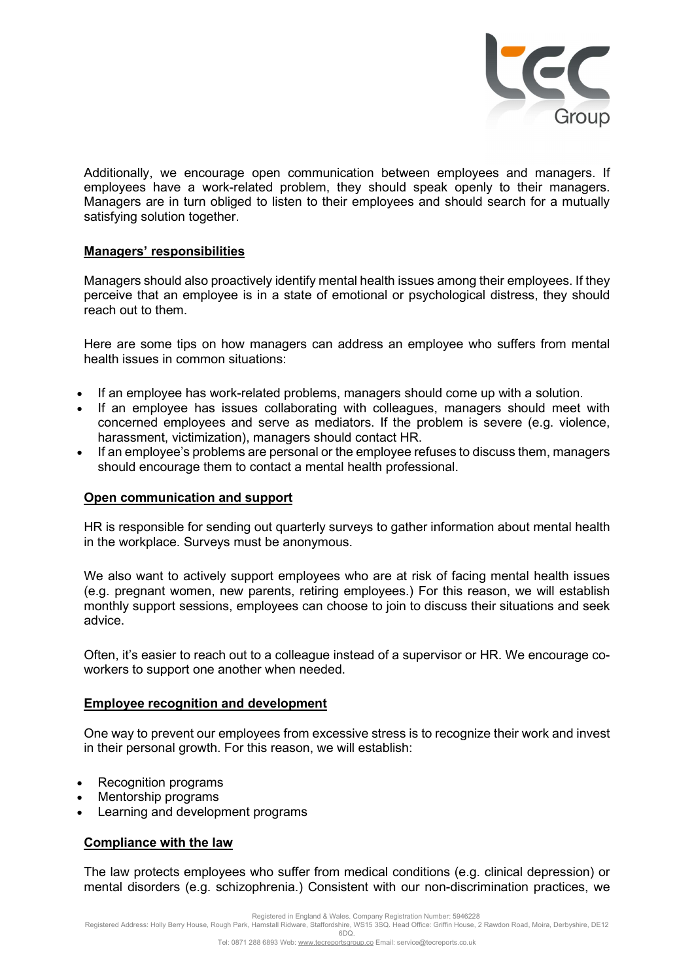

Additionally, we encourage open communication between employees and managers. If employees have a work-related problem, they should speak openly to their managers. Managers are in turn obliged to listen to their employees and should search for a mutually satisfying solution together.

## Managers' responsibilities

Managers should also proactively identify mental health issues among their employees. If they perceive that an employee is in a state of emotional or psychological distress, they should reach out to them.

Here are some tips on how managers can address an employee who suffers from mental health issues in common situations:

- If an employee has work-related problems, managers should come up with a solution.
- If an employee has issues collaborating with colleagues, managers should meet with concerned employees and serve as mediators. If the problem is severe (e.g. violence, harassment, victimization), managers should contact HR.
- If an employee's problems are personal or the employee refuses to discuss them, managers should encourage them to contact a mental health professional.

## Open communication and support

HR is responsible for sending out quarterly surveys to gather information about mental health in the workplace. Surveys must be anonymous.

We also want to actively support employees who are at risk of facing mental health issues (e.g. pregnant women, new parents, retiring employees.) For this reason, we will establish monthly support sessions, employees can choose to join to discuss their situations and seek advice.

Often, it's easier to reach out to a colleague instead of a supervisor or HR. We encourage coworkers to support one another when needed.

## Employee recognition and development

One way to prevent our employees from excessive stress is to recognize their work and invest in their personal growth. For this reason, we will establish:

- Recognition programs
- Mentorship programs
- Learning and development programs

# Compliance with the law

The law protects employees who suffer from medical conditions (e.g. clinical depression) or mental disorders (e.g. schizophrenia.) Consistent with our non-discrimination practices, we

Registered in England & Wales. Company Registration Number: 5946228<br>Registered Address: Holly Berry House, Rough Park, Hamstall Ridware, Staffordshire, WS15 3SQ. Head Office: Griffin House, 2 Rawdon Road, Moira, Derbyshire 6DQ.